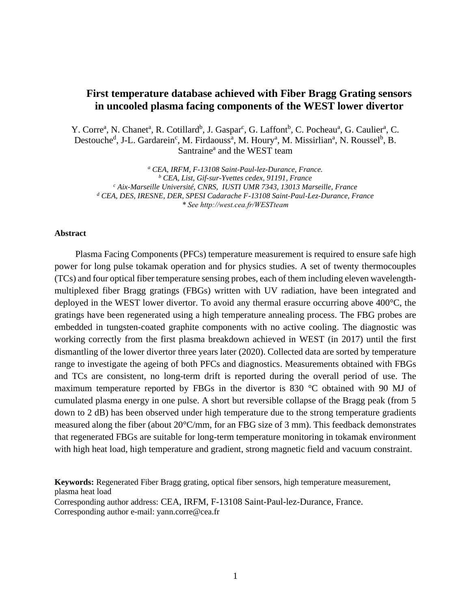# **First temperature database achieved with Fiber Bragg Grating sensors in uncooled plasma facing components of the WEST lower divertor**

Y. Corre<sup>a</sup>, N. Chanet<sup>a</sup>, R. Cotillard<sup>b</sup>, J. Gaspar<sup>c</sup>, G. Laffont<sup>b</sup>, C. Pocheau<sup>a</sup>, G. Caulier<sup>a</sup>, C. Destouche<sup>d</sup>, J-L. Gardarein<sup>c</sup>, M. Firdaouss<sup>a</sup>, M. Houry<sup>a</sup>, M. Missirlian<sup>a</sup>, N. Roussel<sup>b</sup>, B. Santraine<sup>a</sup> and the WEST team

*<sup>a</sup> CEA, IRFM, F-13108 Saint-Paul-lez-Durance, France. <sup>b</sup> CEA, List, Gif-sur-Yvettes cedex, 91191, France <sup>c</sup> Aix-Marseille Université, CNRS, IUSTI UMR 7343, 13013 Marseille, France <sup>d</sup> CEA, DES, IRESNE, DER, SPESI Cadarache F-13108 Saint-Paul-Lez-Durance, France \* See http://west.cea.fr/WESTteam*

#### **Abstract**

Plasma Facing Components (PFCs) temperature measurement is required to ensure safe high power for long pulse tokamak operation and for physics studies. A set of twenty thermocouples (TCs) and four optical fiber temperature sensing probes, each of them including eleven wavelengthmultiplexed fiber Bragg gratings (FBGs) written with UV radiation, have been integrated and deployed in the WEST lower divertor. To avoid any thermal erasure occurring above 400°C, the gratings have been regenerated using a high temperature annealing process. The FBG probes are embedded in tungsten-coated graphite components with no active cooling. The diagnostic was working correctly from the first plasma breakdown achieved in WEST (in 2017) until the first dismantling of the lower divertor three years later (2020). Collected data are sorted by temperature range to investigate the ageing of both PFCs and diagnostics. Measurements obtained with FBGs and TCs are consistent, no long-term drift is reported during the overall period of use. The maximum temperature reported by FBGs in the divertor is 830 °C obtained with 90 MJ of cumulated plasma energy in one pulse. A short but reversible collapse of the Bragg peak (from 5 down to 2 dB) has been observed under high temperature due to the strong temperature gradients measured along the fiber (about 20°C/mm, for an FBG size of 3 mm). This feedback demonstrates that regenerated FBGs are suitable for long-term temperature monitoring in tokamak environment with high heat load, high temperature and gradient, strong magnetic field and vacuum constraint.

**Keywords:** Regenerated Fiber Bragg grating, optical fiber sensors, high temperature measurement, plasma heat load Corresponding author address: CEA, IRFM, F-13108 Saint-Paul-lez-Durance, France.

Corresponding author e-mail: yann.corre@cea.fr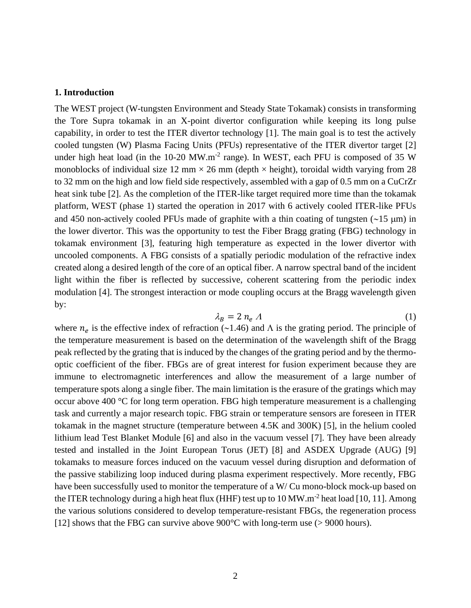### **1. Introduction**

The WEST project (W-tungsten Environment and Steady State Tokamak) consists in transforming the Tore Supra tokamak in an X-point divertor configuration while keeping its long pulse capability, in order to test the ITER divertor technology [1]. The main goal is to test the actively cooled tungsten (W) Plasma Facing Units (PFUs) representative of the ITER divertor target [2] under high heat load (in the 10-20 MW.m<sup>-2</sup> range). In WEST, each PFU is composed of 35 W monoblocks of individual size 12 mm  $\times$  26 mm (depth  $\times$  height), toroidal width varying from 28 to 32 mm on the high and low field side respectively, assembled with a gap of 0.5 mm on a CuCrZr heat sink tube [2]. As the completion of the ITER-like target required more time than the tokamak platform, WEST (phase 1) started the operation in 2017 with 6 actively cooled ITER-like PFUs and 450 non-actively cooled PFUs made of graphite with a thin coating of tungsten  $(\sim 15 \mu m)$  in the lower divertor. This was the opportunity to test the Fiber Bragg grating (FBG) technology in tokamak environment [3], featuring high temperature as expected in the lower divertor with uncooled components. A FBG consists of a spatially periodic modulation of the refractive index created along a desired length of the core of an optical fiber. A narrow spectral band of the incident light within the fiber is reflected by successive, coherent scattering from the periodic index modulation [4]. The strongest interaction or mode coupling occurs at the Bragg wavelength given by:

$$
\lambda_B = 2 n_e \Lambda \tag{1}
$$

where  $n_e$  is the effective index of refraction (~1.46) and  $\Lambda$  is the grating period. The principle of the temperature measurement is based on the determination of the wavelength shift of the Bragg peak reflected by the grating that is induced by the changes of the grating period and by the thermooptic coefficient of the fiber. FBGs are of great interest for fusion experiment because they are immune to electromagnetic interferences and allow the measurement of a large number of temperature spots along a single fiber. The main limitation is the erasure of the gratings which may occur above 400 °C for long term operation. FBG high temperature measurement is a challenging task and currently a major research topic. FBG strain or temperature sensors are foreseen in ITER tokamak in the magnet structure (temperature between 4.5K and 300K) [5], in the helium cooled lithium lead Test Blanket Module [6] and also in the vacuum vessel [7]. They have been already tested and installed in the Joint European Torus (JET) [8] and ASDEX Upgrade (AUG) [9] tokamaks to measure forces induced on the vacuum vessel during disruption and deformation of the passive stabilizing loop induced during plasma experiment respectively. More recently, FBG have been successfully used to monitor the temperature of a W/ Cu mono-block mock-up based on the ITER technology during a high heat flux (HHF) test up to  $10 \,\mathrm{MW.m^{-2}}$  heat load [10, 11]. Among the various solutions considered to develop temperature-resistant FBGs, the regeneration process [12] shows that the FBG can survive above 900°C with long-term use (> 9000 hours).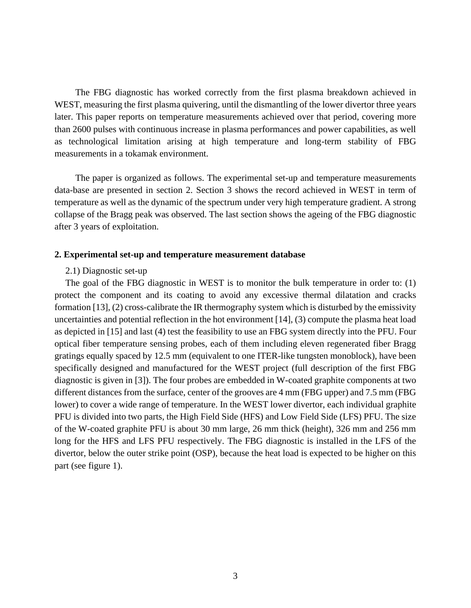The FBG diagnostic has worked correctly from the first plasma breakdown achieved in WEST, measuring the first plasma quivering, until the dismantling of the lower divertor three years later. This paper reports on temperature measurements achieved over that period, covering more than 2600 pulses with continuous increase in plasma performances and power capabilities, as well as technological limitation arising at high temperature and long-term stability of FBG measurements in a tokamak environment.

The paper is organized as follows. The experimental set-up and temperature measurements data-base are presented in section 2. Section 3 shows the record achieved in WEST in term of temperature as well as the dynamic of the spectrum under very high temperature gradient. A strong collapse of the Bragg peak was observed. The last section shows the ageing of the FBG diagnostic after 3 years of exploitation.

### **2. Experimental set-up and temperature measurement database**

### 2.1) Diagnostic set-up

The goal of the FBG diagnostic in WEST is to monitor the bulk temperature in order to: (1) protect the component and its coating to avoid any excessive thermal dilatation and cracks formation [13], (2) cross-calibrate the IR thermography system which is disturbed by the emissivity uncertainties and potential reflection in the hot environment [14], (3) compute the plasma heat load as depicted in [15] and last (4) test the feasibility to use an FBG system directly into the PFU. Four optical fiber temperature sensing probes, each of them including eleven regenerated fiber Bragg gratings equally spaced by 12.5 mm (equivalent to one ITER-like tungsten monoblock), have been specifically designed and manufactured for the WEST project (full description of the first FBG diagnostic is given in [3]). The four probes are embedded in W-coated graphite components at two different distances from the surface, center of the grooves are 4 mm (FBG upper) and 7.5 mm (FBG lower) to cover a wide range of temperature. In the WEST lower divertor, each individual graphite PFU is divided into two parts, the High Field Side (HFS) and Low Field Side (LFS) PFU. The size of the W-coated graphite PFU is about 30 mm large, 26 mm thick (height), 326 mm and 256 mm long for the HFS and LFS PFU respectively. The FBG diagnostic is installed in the LFS of the divertor, below the outer strike point (OSP), because the heat load is expected to be higher on this part (see figure 1).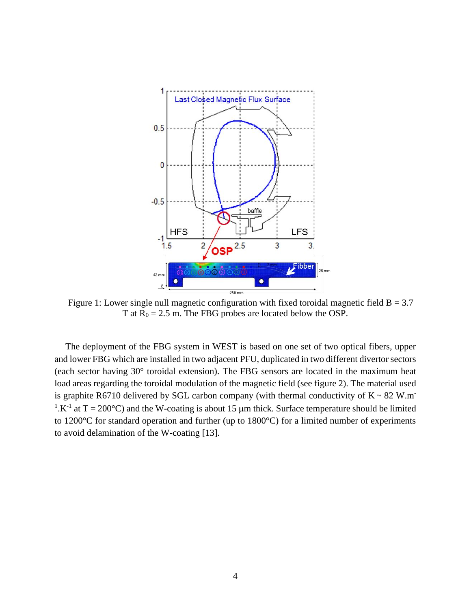

Figure 1: Lower single null magnetic configuration with fixed toroidal magnetic field  $B = 3.7$ T at  $R_0 = 2.5$  m. The FBG probes are located below the OSP.

The deployment of the FBG system in WEST is based on one set of two optical fibers, upper and lower FBG which are installed in two adjacent PFU, duplicated in two different divertor sectors (each sector having 30° toroidal extension). The FBG sensors are located in the maximum heat load areas regarding the toroidal modulation of the magnetic field (see figure 2). The material used is graphite R6710 delivered by SGL carbon company (with thermal conductivity of  $K \sim 82$  W.m<sup>-</sup> <sup>1</sup>.K<sup>-1</sup> at T = 200°C) and the W-coating is about 15  $\mu$ m thick. Surface temperature should be limited to 1200°C for standard operation and further (up to 1800°C) for a limited number of experiments to avoid delamination of the W-coating [13].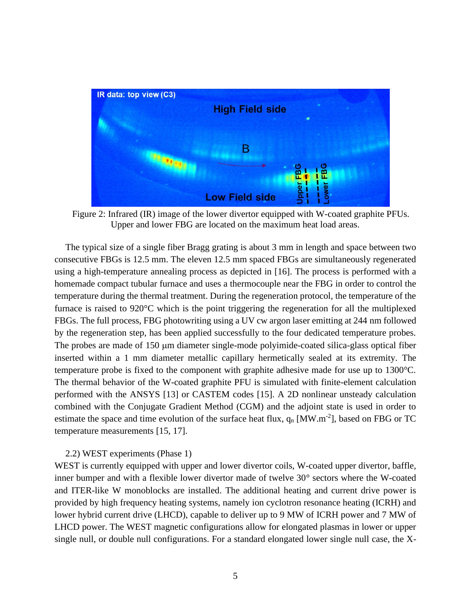

Figure 2: Infrared (IR) image of the lower divertor equipped with W-coated graphite PFUs. Upper and lower FBG are located on the maximum heat load areas.

The typical size of a single fiber Bragg grating is about 3 mm in length and space between two consecutive FBGs is 12.5 mm. The eleven 12.5 mm spaced FBGs are simultaneously regenerated using a high-temperature annealing process as depicted in [16]. The process is performed with a homemade compact tubular furnace and uses a thermocouple near the FBG in order to control the temperature during the thermal treatment. During the regeneration protocol, the temperature of the furnace is raised to 920°C which is the point triggering the regeneration for all the multiplexed FBGs. The full process, FBG photowriting using a UV cw argon laser emitting at 244 nm followed by the regeneration step, has been applied successfully to the four dedicated temperature probes. The probes are made of  $150 \mu m$  diameter single-mode polyimide-coated silica-glass optical fiber inserted within a 1 mm diameter metallic capillary hermetically sealed at its extremity. The temperature probe is fixed to the component with graphite adhesive made for use up to 1300°C. The thermal behavior of the W-coated graphite PFU is simulated with finite-element calculation performed with the ANSYS [13] or CASTEM codes [15]. A 2D nonlinear unsteady calculation combined with the Conjugate Gradient Method (CGM) and the adjoint state is used in order to estimate the space and time evolution of the surface heat flux,  $q_n$  [MW.m<sup>-2</sup>], based on FBG or TC temperature measurements [15, 17].

### 2.2) WEST experiments (Phase 1)

WEST is currently equipped with upper and lower divertor coils, W-coated upper divertor, baffle, inner bumper and with a flexible lower divertor made of twelve 30° sectors where the W-coated and ITER-like W monoblocks are installed. The additional heating and current drive power is provided by high frequency heating systems, namely ion cyclotron resonance heating (ICRH) and lower hybrid current drive (LHCD), capable to deliver up to 9 MW of ICRH power and 7 MW of LHCD power. The WEST magnetic configurations allow for elongated plasmas in lower or upper single null, or double null configurations. For a standard elongated lower single null case, the X-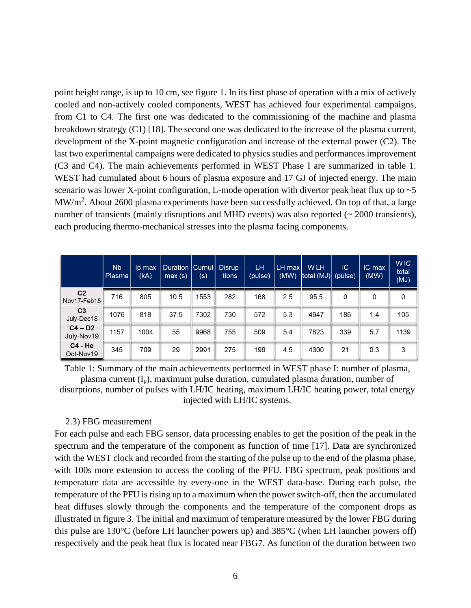point height range, is up to 10 cm, see figure 1. In its first phase of operation with a mix of actively cooled and non-actively cooled components, WEST has achieved four experimental campaigns, from C1 to C4. The first one was dedicated to the commissioning of the machine and plasma breakdown strategy (C1) [18]. The second one was dedicated to the increase of the plasma current, development of the X-point magnetic configuration and increase of the external power (C2). The last two experimental campaigns were dedicated to physics studies and performances improvement (C3 and C4). The main achievements performed in WEST Phase I are summarized in table 1. WEST had cumulated about 6 hours of plasma exposure and 17 GJ of injected energy. The main scenario was lower X-point configuration, L-mode operation with divertor peak heat flux up to  $\sim$  5  $MW/m<sup>2</sup>$ . About 2600 plasma experiments have been successfully achieved. On top of that, a large number of transients (mainly disruptions and MHD events) was also reported (~ 2000 transients), each producing thermo-mechanical stresses into the plasma facing components.

|                               | <b>N<sub>b</sub></b><br>Plasma | lp max<br>(kA) | Duration Cumul Disrup-<br>max(s) | (s)  | tions | LH<br>(pulse) | LH max<br>(MW) | <b>WLH</b><br>total (MJ) (pulse) | IC  | IC max<br>(MW) | WIC.<br>total<br>(MJ) |
|-------------------------------|--------------------------------|----------------|----------------------------------|------|-------|---------------|----------------|----------------------------------|-----|----------------|-----------------------|
| C <sub>2</sub><br>Nov17-Feb18 | 716                            | 805            | 10.5                             | 1553 | 282   | 168           | 2.5            | 95.5                             | 0   | 0              | 0                     |
| C <sub>3</sub><br>July-Dec18  | 1076                           | 818            | 37.5                             | 7302 | 730   | 572           | 5.3            | 4947                             | 186 | 1.4            | 105                   |
| $C4 - D2$<br>July-Nov19       | 1157                           | 1004           | 55                               | 9968 | 755   | 509           | 5.4            | 7823                             | 339 | 5.7            | 1139                  |
| <b>C4 - He</b><br>Oct-Nov19   | 345                            | 709            | 29                               | 2991 | 275   | 196           | 4.5            | 4300                             | 21  | 0.3            | 3                     |

Table 1: Summary of the main achievements performed in WEST phase I: number of plasma, plasma current (Ip), maximum pulse duration, cumulated plasma duration, number of

disurptions, number of pulses with LH/IC heating, maximum LH/IC heating power, total energy injected with LH/IC systems.

## 2.3) FBG measurement

For each pulse and each FBG sensor, data processing enables to get the position of the peak in the spectrum and the temperature of the component as function of time [17]. Data are synchronized with the WEST clock and recorded from the starting of the pulse up to the end of the plasma phase, with 100s more extension to access the cooling of the PFU. FBG spectrum, peak positions and temperature data are accessible by every-one in the WEST data-base. During each pulse, the temperature of the PFU is rising up to a maximum when the power switch-off, then the accumulated heat diffuses slowly through the components and the temperature of the component drops as illustrated in figure 3. The initial and maximum of temperature measured by the lower FBG during this pulse are 130°C (before LH launcher powers up) and 385°C (when LH launcher powers off) respectively and the peak heat flux is located near FBG7. As function of the duration between two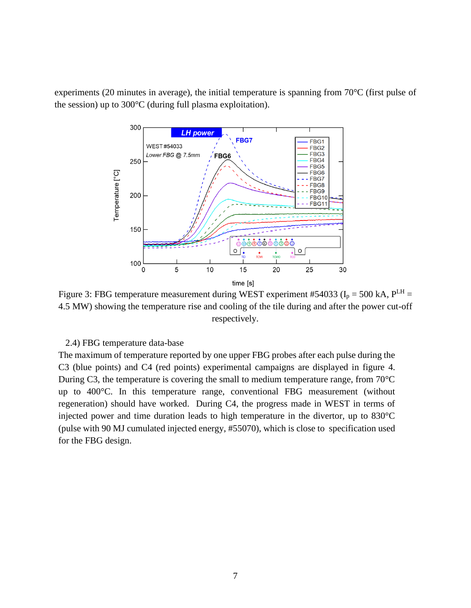experiments (20 minutes in average), the initial temperature is spanning from 70°C (first pulse of the session) up to 300°C (during full plasma exploitation).



Figure 3: FBG temperature measurement during WEST experiment #54033 ( $I_p = 500$  kA,  $P^{LH} =$ 4.5 MW) showing the temperature rise and cooling of the tile during and after the power cut-off respectively.

2.4) FBG temperature data-base

The maximum of temperature reported by one upper FBG probes after each pulse during the C3 (blue points) and C4 (red points) experimental campaigns are displayed in figure 4. During C3, the temperature is covering the small to medium temperature range, from 70°C up to 400°C. In this temperature range, conventional FBG measurement (without regeneration) should have worked. During C4, the progress made in WEST in terms of injected power and time duration leads to high temperature in the divertor, up to 830°C (pulse with 90 MJ cumulated injected energy, #55070), which is close to specification used for the FBG design.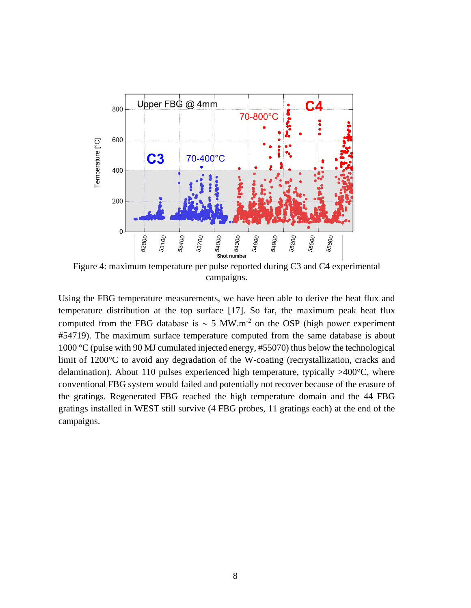

Figure 4: maximum temperature per pulse reported during C3 and C4 experimental campaigns.

Using the FBG temperature measurements, we have been able to derive the heat flux and temperature distribution at the top surface [17]. So far, the maximum peak heat flux computed from the FBG database is  $\sim$  5 MW.m<sup>-2</sup> on the OSP (high power experiment #54719). The maximum surface temperature computed from the same database is about 1000 °C (pulse with 90 MJ cumulated injected energy, #55070) thus below the technological limit of 1200°C to avoid any degradation of the W-coating (recrystallization, cracks and delamination). About 110 pulses experienced high temperature, typically  $>400^{\circ}$ C, where conventional FBG system would failed and potentially not recover because of the erasure of the gratings. Regenerated FBG reached the high temperature domain and the 44 FBG gratings installed in WEST still survive (4 FBG probes, 11 gratings each) at the end of the campaigns.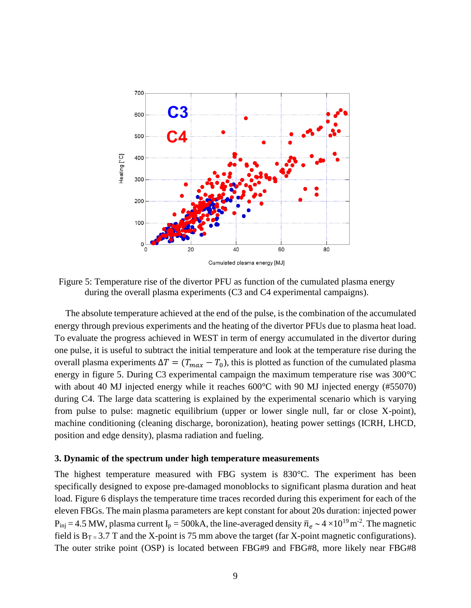

Figure 5: Temperature rise of the divertor PFU as function of the cumulated plasma energy during the overall plasma experiments (C3 and C4 experimental campaigns).

The absolute temperature achieved at the end of the pulse, is the combination of the accumulated energy through previous experiments and the heating of the divertor PFUs due to plasma heat load. To evaluate the progress achieved in WEST in term of energy accumulated in the divertor during one pulse, it is useful to subtract the initial temperature and look at the temperature rise during the overall plasma experiments  $\Delta T = (T_{max} - T_0)$ , this is plotted as function of the cumulated plasma energy in figure 5. During C3 experimental campaign the maximum temperature rise was 300°C with about 40 MJ injected energy while it reaches 600°C with 90 MJ injected energy (#55070) during C4. The large data scattering is explained by the experimental scenario which is varying from pulse to pulse: magnetic equilibrium (upper or lower single null, far or close X-point), machine conditioning (cleaning discharge, boronization), heating power settings (ICRH, LHCD, position and edge density), plasma radiation and fueling.

#### **3. Dynamic of the spectrum under high temperature measurements**

The highest temperature measured with FBG system is 830°C. The experiment has been specifically designed to expose pre-damaged monoblocks to significant plasma duration and heat load. Figure 6 displays the temperature time traces recorded during this experiment for each of the eleven FBGs. The main plasma parameters are kept constant for about 20s duration: injected power  $P_{\text{inj}} = 4.5$  MW, plasma current I<sub>p</sub> = 500kA, the line-averaged density  $\bar{n}_e \sim 4 \times 10^{19}$  m<sup>-2</sup>. The magnetic field is  $B_T = 3.7$  T and the X-point is 75 mm above the target (far X-point magnetic configurations). The outer strike point (OSP) is located between FBG#9 and FBG#8, more likely near FBG#8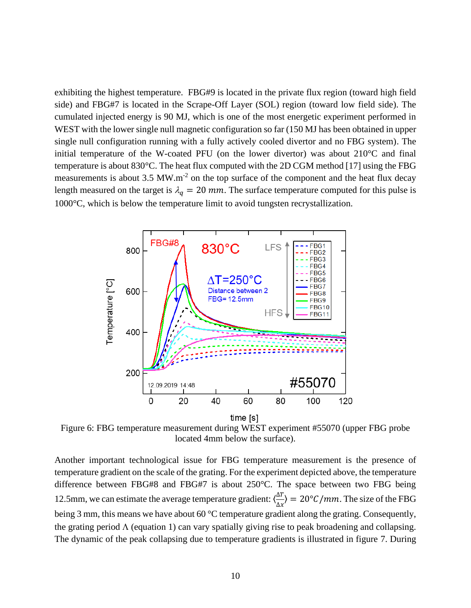exhibiting the highest temperature. FBG#9 is located in the private flux region (toward high field side) and FBG#7 is located in the Scrape-Off Layer (SOL) region (toward low field side). The cumulated injected energy is 90 MJ, which is one of the most energetic experiment performed in WEST with the lower single null magnetic configuration so far (150 MJ has been obtained in upper single null configuration running with a fully actively cooled divertor and no FBG system). The initial temperature of the W-coated PFU (on the lower divertor) was about 210°C and final temperature is about 830°C. The heat flux computed with the 2D CGM method [17] using the FBG measurements is about 3.5 MW.m<sup>-2</sup> on the top surface of the component and the heat flux decay length measured on the target is  $\lambda_q = 20$  mm. The surface temperature computed for this pulse is 1000°C, which is below the temperature limit to avoid tungsten recrystallization.



Figure 6: FBG temperature measurement during WEST experiment #55070 (upper FBG probe located 4mm below the surface).

Another important technological issue for FBG temperature measurement is the presence of temperature gradient on the scale of the grating. For the experiment depicted above, the temperature difference between FBG#8 and FBG#7 is about 250°C. The space between two FBG being 12.5mm, we can estimate the average temperature gradient:  $\left\langle \frac{\Delta T}{\Delta L} \right\rangle$  $\frac{\Delta T}{\Delta x}$  = 20°C/mm. The size of the FBG being 3 mm, this means we have about 60 °C temperature gradient along the grating. Consequently, the grating period  $\Lambda$  (equation 1) can vary spatially giving rise to peak broadening and collapsing. The dynamic of the peak collapsing due to temperature gradients is illustrated in figure 7. During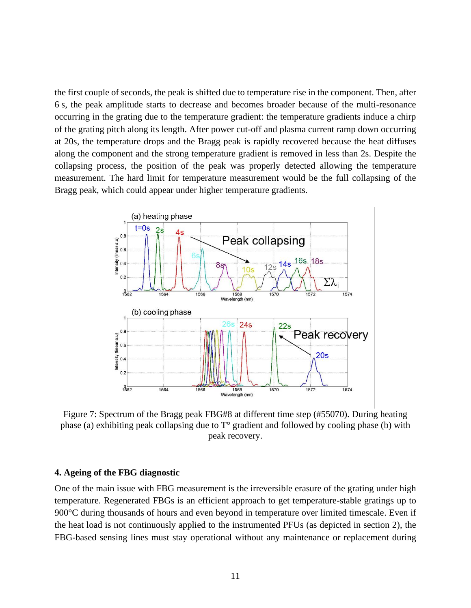the first couple of seconds, the peak is shifted due to temperature rise in the component. Then, after 6 s, the peak amplitude starts to decrease and becomes broader because of the multi-resonance occurring in the grating due to the temperature gradient: the temperature gradients induce a chirp of the grating pitch along its length. After power cut-off and plasma current ramp down occurring at 20s, the temperature drops and the Bragg peak is rapidly recovered because the heat diffuses along the component and the strong temperature gradient is removed in less than 2s. Despite the collapsing process, the position of the peak was properly detected allowing the temperature measurement. The hard limit for temperature measurement would be the full collapsing of the Bragg peak, which could appear under higher temperature gradients.



Figure 7: Spectrum of the Bragg peak FBG#8 at different time step (#55070). During heating phase (a) exhibiting peak collapsing due to  $T^{\circ}$  gradient and followed by cooling phase (b) with peak recovery.

### **4. Ageing of the FBG diagnostic**

One of the main issue with FBG measurement is the irreversible erasure of the grating under high temperature. Regenerated FBGs is an efficient approach to get temperature-stable gratings up to 900 °C during thousands of hours and even beyond in temperature over limited timescale. Even if the heat load is not continuously applied to the instrumented PFUs (as depicted in section 2), the FBG-based sensing lines must stay operational without any maintenance or replacement during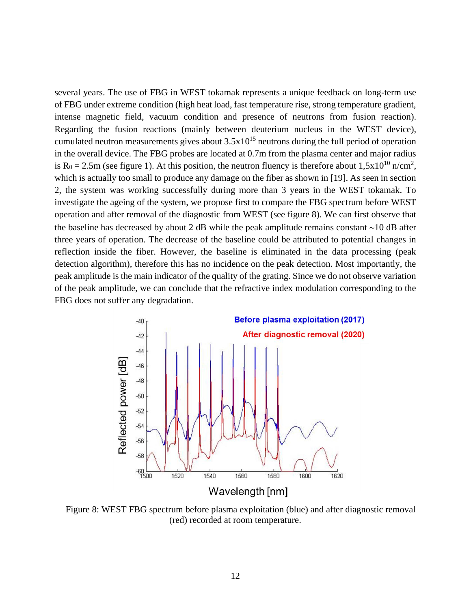several years. The use of FBG in WEST tokamak represents a unique feedback on long-term use of FBG under extreme condition (high heat load, fast temperature rise, strong temperature gradient, intense magnetic field, vacuum condition and presence of neutrons from fusion reaction). Regarding the fusion reactions (mainly between deuterium nucleus in the WEST device), cumulated neutron measurements gives about  $3.5x10^{15}$  neutrons during the full period of operation in the overall device. The FBG probes are located at 0.7m from the plasma center and major radius is R<sub>0</sub> = 2.5m (see figure 1). At this position, the neutron fluency is therefore about  $1,5x10^{10}$  n/cm<sup>2</sup>, which is actually too small to produce any damage on the fiber as shown in [19]. As seen in section 2, the system was working successfully during more than 3 years in the WEST tokamak. To investigate the ageing of the system, we propose first to compare the FBG spectrum before WEST operation and after removal of the diagnostic from WEST (see figure 8). We can first observe that the baseline has decreased by about 2 dB while the peak amplitude remains constant  $\sim$ 10 dB after three years of operation. The decrease of the baseline could be attributed to potential changes in reflection inside the fiber. However, the baseline is eliminated in the data processing (peak detection algorithm), therefore this has no incidence on the peak detection. Most importantly, the peak amplitude is the main indicator of the quality of the grating. Since we do not observe variation of the peak amplitude, we can conclude that the refractive index modulation corresponding to the FBG does not suffer any degradation.



Figure 8: WEST FBG spectrum before plasma exploitation (blue) and after diagnostic removal (red) recorded at room temperature.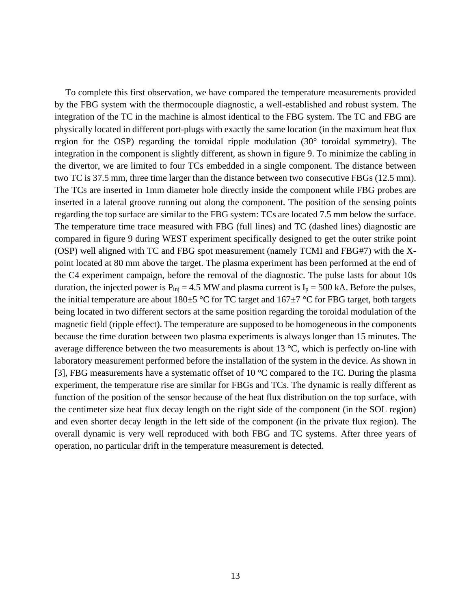To complete this first observation, we have compared the temperature measurements provided by the FBG system with the thermocouple diagnostic, a well-established and robust system. The integration of the TC in the machine is almost identical to the FBG system. The TC and FBG are physically located in different port-plugs with exactly the same location (in the maximum heat flux region for the OSP) regarding the toroidal ripple modulation (30° toroidal symmetry). The integration in the component is slightly different, as shown in figure 9. To minimize the cabling in the divertor, we are limited to four TCs embedded in a single component. The distance between two TC is 37.5 mm, three time larger than the distance between two consecutive FBGs (12.5 mm). The TCs are inserted in 1mm diameter hole directly inside the component while FBG probes are inserted in a lateral groove running out along the component. The position of the sensing points regarding the top surface are similar to the FBG system: TCs are located 7.5 mm below the surface. The temperature time trace measured with FBG (full lines) and TC (dashed lines) diagnostic are compared in figure 9 during WEST experiment specifically designed to get the outer strike point (OSP) well aligned with TC and FBG spot measurement (namely TCMI and FBG#7) with the Xpoint located at 80 mm above the target. The plasma experiment has been performed at the end of the C4 experiment campaign, before the removal of the diagnostic. The pulse lasts for about 10s duration, the injected power is  $P_{\text{inj}} = 4.5$  MW and plasma current is  $I_p = 500$  kA. Before the pulses, the initial temperature are about 180 $\pm$ 5 °C for TC target and 167 $\pm$ 7 °C for FBG target, both targets being located in two different sectors at the same position regarding the toroidal modulation of the magnetic field (ripple effect). The temperature are supposed to be homogeneous in the components because the time duration between two plasma experiments is always longer than 15 minutes. The average difference between the two measurements is about 13 °C, which is perfectly on-line with laboratory measurement performed before the installation of the system in the device. As shown in [3], FBG measurements have a systematic offset of 10 °C compared to the TC. During the plasma experiment, the temperature rise are similar for FBGs and TCs. The dynamic is really different as function of the position of the sensor because of the heat flux distribution on the top surface, with the centimeter size heat flux decay length on the right side of the component (in the SOL region) and even shorter decay length in the left side of the component (in the private flux region). The overall dynamic is very well reproduced with both FBG and TC systems. After three years of operation, no particular drift in the temperature measurement is detected.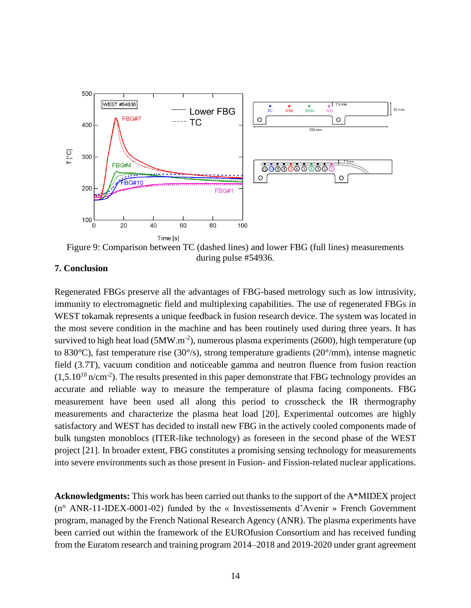

Figure 9: Comparison between TC (dashed lines) and lower FBG (full lines) measurements during pulse #54936.

## **7. Conclusion**

Regenerated FBGs preserve all the advantages of FBG-based metrology such as low intrusivity, immunity to electromagnetic field and multiplexing capabilities. The use of regenerated FBGs in WEST tokamak represents a unique feedback in fusion research device. The system was located in the most severe condition in the machine and has been routinely used during three years. It has survived to high heat load (5MW.m<sup>-2</sup>), numerous plasma experiments (2600), high temperature (up to 830°C), fast temperature rise (30°/s), strong temperature gradients (20°/mm), intense magnetic field (3.7T), vacuum condition and noticeable gamma and neutron fluence from fusion reaction  $(1,5.10^{10} \text{ n/cm}^2)$ . The results presented in this paper demonstrate that FBG technology provides an accurate and reliable way to measure the temperature of plasma facing components. FBG measurement have been used all along this period to crosscheck the IR thermography measurements and characterize the plasma heat load [20]. Experimental outcomes are highly satisfactory and WEST has decided to install new FBG in the actively cooled components made of bulk tungsten monoblocs (ITER-like technology) as foreseen in the second phase of the WEST project [21]. In broader extent, FBG constitutes a promising sensing technology for measurements into severe environments such as those present in Fusion- and Fission-related nuclear applications.

**Acknowledgments:** This work has been carried out thanks to the support of the A\*MIDEX project (n° ANR-11-IDEX-0001-02) funded by the « Investissements d'Avenir » French Government program, managed by the French National Research Agency (ANR). The plasma experiments have been carried out within the framework of the EUROfusion Consortium and has received funding from the Euratom research and training program 2014–2018 and 2019-2020 under grant agreement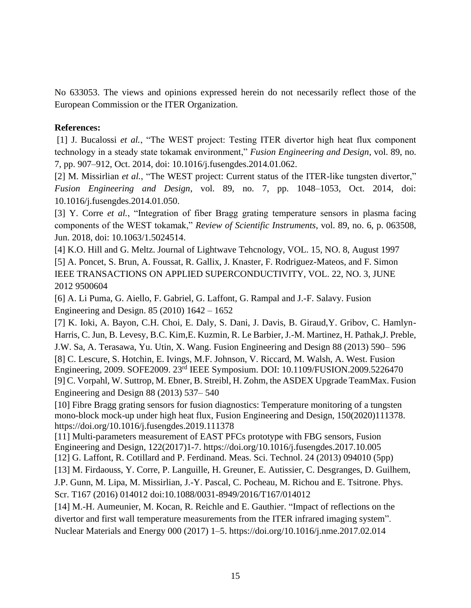No 633053. The views and opinions expressed herein do not necessarily reflect those of the European Commission or the ITER Organization.

## **References:**

[1] J. Bucalossi et al., "The WEST project: Testing ITER divertor high heat flux component technology in a steady state tokamak environment," *Fusion Engineering and Design*, vol. 89, no. 7, pp. 907–912, Oct. 2014, doi: 10.1016/j.fusengdes.2014.01.062.

[2] M. Missirlian *et al.*, "The WEST project: Current status of the ITER-like tungsten divertor," *Fusion Engineering and Design*, vol. 89, no. 7, pp. 1048–1053, Oct. 2014, doi: 10.1016/j.fusengdes.2014.01.050.

[3] Y. Corre *et al.*, "Integration of fiber Bragg grating temperature sensors in plasma facing components of the WEST tokamak," *Review of Scientific Instruments*, vol. 89, no. 6, p. 063508, Jun. 2018, doi: 10.1063/1.5024514.

[4] K.O. Hill and G. Meltz. Journal of Lightwave Tehcnology, VOL. 15, NO. 8, August 1997 [5] A. Poncet, S. Brun, A. Foussat, R. Gallix, J. Knaster, F. Rodriguez-Mateos, and F. Simon IEEE TRANSACTIONS ON APPLIED SUPERCONDUCTIVITY, VOL. 22, NO. 3, JUNE 2012 9500604

[6] A. Li Puma, G. Aiello, F. Gabriel, G. Laffont, G. Rampal and J.-F. Salavy. Fusion Engineering and Design. 85 (2010) 1642 – 1652

[7] K. Ioki, A. Bayon, C.H. Choi, E. Daly, S. Dani, J. Davis, B. Giraud,Y. Gribov, C. Hamlyn-Harris, C. Jun, B. Levesy, B.C. Kim,E. Kuzmin, R. Le Barbier, J.-M. Martinez, H. Pathak,J. Preble, J.W. Sa, A. Terasawa, Yu. Utin, X. Wang. Fusion Engineering and Design 88 (2013) 590– 596 [8] C. Lescure, S. Hotchin, E. Ivings, M.F. Johnson, V. Riccard, M. Walsh, A. West. Fusion Engineering, 2009. SOFE2009. 23rd IEEE Symposium. DOI: [10.1109/FUSION.2009.5226470](https://doi.org/10.1109/FUSION.2009.5226470) [9] C. Vorpahl, W. Suttrop, M. Ebner, B. Streibl, H. Zohm, the ASDEX Upgrade TeamMax. Fusion Engineering and Design 88 (2013) 537– 540

[10] [Fibre Bragg grating sensors for fusion diagnostics: Temperature monitoring of a tungsten](https://apps.webofknowledge.com/full_record.do?product=UA&search_mode=GeneralSearch&qid=2&SID=7D1kj4iZhyiCfbsvCFs&page=1&doc=1)  [mono-block mock-up under high heat flux,](https://apps.webofknowledge.com/full_record.do?product=UA&search_mode=GeneralSearch&qid=2&SID=7D1kj4iZhyiCfbsvCFs&page=1&doc=1) Fusion Engineering and Design, 150(2020)111378. https://doi.org/10.1016/j.fusengdes.2019.111378

[11] Multi-parameters measurement of EAST PFCs prototype with FBG sensors, Fusion Engineering and Design, 122(2017)1-7. https://doi.org/10.1016/j.fusengdes.2017.10.005

[12] G. Laffont, R. Cotillard and P. Ferdinand. Meas. Sci. Technol. 24 (2013) 094010 (5pp)

[13] M. Firdaouss, Y. Corre, P. Languille, H. Greuner, E. Autissier, C. Desgranges, D. Guilhem,

J.P. Gunn, M. Lipa, M. Missirlian, J.-Y. Pascal, C. Pocheau, M. Richou and E. Tsitrone. Phys. Scr. T167 (2016) 014012 doi:10.1088/0031-8949/2016/T167/014012

[14] M.-H. Aumeunier, M. Kocan, R. Reichle and E. Gauthier. "Impact of reflections on the divertor and first wall temperature measurements from the ITER infrared imaging system". Nuclear Materials and Energy 000 (2017) 1–5. https://doi.org/10.1016/j.nme.2017.02.014